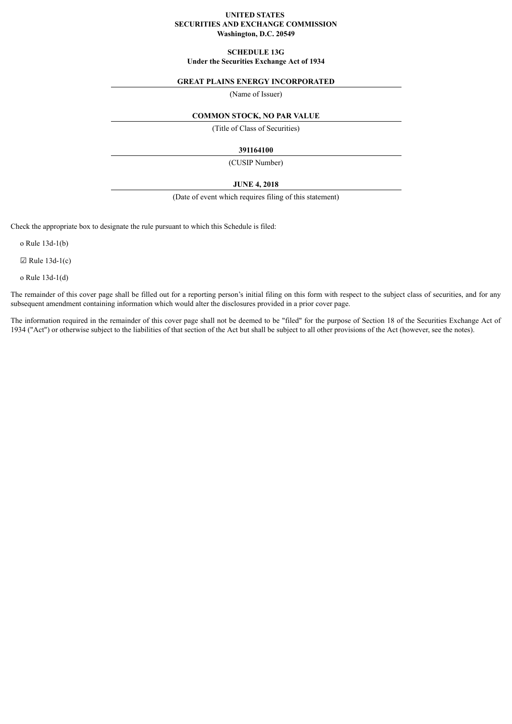# **UNITED STATES SECURITIES AND EXCHANGE COMMISSION Washington, D.C. 20549**

# **SCHEDULE 13G Under the Securities Exchange Act of 1934**

# **GREAT PLAINS ENERGY INCORPORATED**

(Name of Issuer)

# **COMMON STOCK, NO PAR VALUE**

(Title of Class of Securities)

# **391164100**

(CUSIP Number)

# **JUNE 4, 2018**

(Date of event which requires filing of this statement)

Check the appropriate box to designate the rule pursuant to which this Schedule is filed:

o Rule 13d-1(b)

 $\boxtimes$  Rule 13d-1(c)

o Rule 13d-1(d)

The remainder of this cover page shall be filled out for a reporting person's initial filing on this form with respect to the subject class of securities, and for any subsequent amendment containing information which would alter the disclosures provided in a prior cover page.

The information required in the remainder of this cover page shall not be deemed to be "filed" for the purpose of Section 18 of the Securities Exchange Act of 1934 ("Act") or otherwise subject to the liabilities of that section of the Act but shall be subject to all other provisions of the Act (however, see the notes).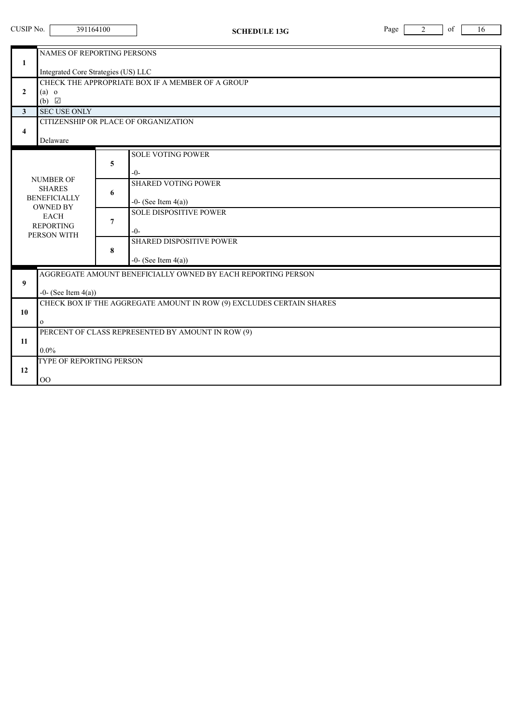| CUSIP No.<br>391164100                                                    |                                                                                                                                                                                                                                                                                                                      |                                                 | <b>SCHEDULE 13G</b>                                                                                                                                     | Page | 2 | of | 16 |  |
|---------------------------------------------------------------------------|----------------------------------------------------------------------------------------------------------------------------------------------------------------------------------------------------------------------------------------------------------------------------------------------------------------------|-------------------------------------------------|---------------------------------------------------------------------------------------------------------------------------------------------------------|------|---|----|----|--|
| $\mathbf{1}$<br>$\overline{2}$<br>$\mathbf{3}$<br>$\overline{\mathbf{4}}$ | NAMES OF REPORTING PERSONS<br>Integrated Core Strategies (US) LLC<br>CHECK THE APPROPRIATE BOX IF A MEMBER OF A GROUP<br>$(a)$ o<br>(b) $\Box$<br><b>SEC USE ONLY</b><br>CITIZENSHIP OR PLACE OF ORGANIZATION<br>Delaware                                                                                            |                                                 |                                                                                                                                                         |      |   |    |    |  |
|                                                                           | <b>NUMBER OF</b><br><b>SHARES</b><br><b>BENEFICIALLY</b><br><b>OWNED BY</b><br><b>EACH</b><br><b>REPORTING</b><br>PERSON WITH                                                                                                                                                                                        | 5<br>$-0-$<br>6<br>$\overline{7}$<br>$-0-$<br>8 | <b>SOLE VOTING POWER</b><br><b>SHARED VOTING POWER</b><br>$-0$ - (See Item $4(a)$ )<br><b>SOLE DISPOSITIVE POWER</b><br><b>SHARED DISPOSITIVE POWER</b> |      |   |    |    |  |
| $\boldsymbol{9}$<br>10<br>11<br>12                                        | $-0$ - (See Item $4(a)$ )<br>AGGREGATE AMOUNT BENEFICIALLY OWNED BY EACH REPORTING PERSON<br>$-0$ - (See Item $4(a)$ )<br>CHECK BOX IF THE AGGREGATE AMOUNT IN ROW (9) EXCLUDES CERTAIN SHARES<br>$\mathbf{O}$<br>PERCENT OF CLASS REPRESENTED BY AMOUNT IN ROW (9)<br>$0.0\%$<br>TYPE OF REPORTING PERSON<br>$00\,$ |                                                 |                                                                                                                                                         |      |   |    |    |  |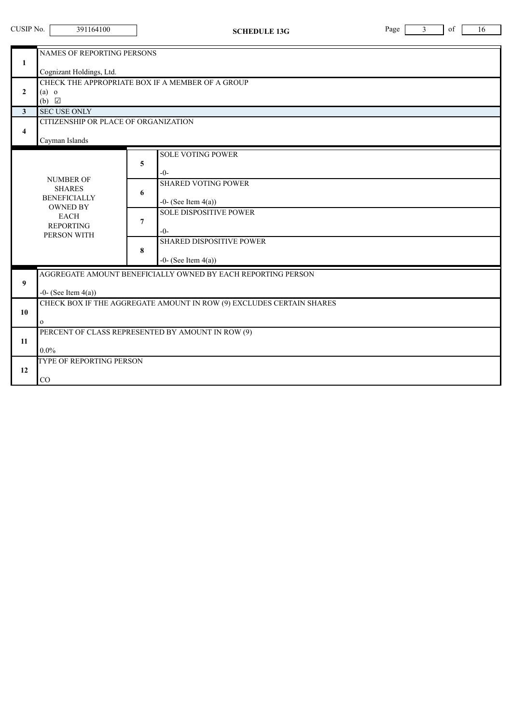|                                         | CUSIP No.<br>391164100<br>Page<br>of<br>3<br><b>SCHEDULE 13G</b>                          |                |                                                                                          |  |  | 16 |  |
|-----------------------------------------|-------------------------------------------------------------------------------------------|----------------|------------------------------------------------------------------------------------------|--|--|----|--|
| $\mathbf{1}$                            | NAMES OF REPORTING PERSONS<br>Cognizant Holdings, Ltd.                                    |                |                                                                                          |  |  |    |  |
| $\mathbf{2}$                            | $(a)$ o<br>$(b)$ $\Box$                                                                   |                | CHECK THE APPROPRIATE BOX IF A MEMBER OF A GROUP                                         |  |  |    |  |
| $\mathbf{3}$<br>$\overline{\mathbf{4}}$ | <b>SEC USE ONLY</b><br>CITIZENSHIP OR PLACE OF ORGANIZATION<br>Cayman Islands             |                |                                                                                          |  |  |    |  |
|                                         | <b>NUMBER OF</b>                                                                          | 5              | <b>SOLE VOTING POWER</b><br>$-0-$                                                        |  |  |    |  |
|                                         | <b>SHARES</b><br><b>BENEFICIALLY</b><br><b>OWNED BY</b>                                   | 6              | <b>SHARED VOTING POWER</b><br>$-0$ - (See Item $4(a)$ )<br><b>SOLE DISPOSITIVE POWER</b> |  |  |    |  |
|                                         | <b>EACH</b><br><b>REPORTING</b><br>PERSON WITH                                            | $\overline{7}$ | $-()$ -<br><b>SHARED DISPOSITIVE POWER</b>                                               |  |  |    |  |
|                                         |                                                                                           | 8              | $-0$ - (See Item $4(a)$ )                                                                |  |  |    |  |
| 9                                       | AGGREGATE AMOUNT BENEFICIALLY OWNED BY EACH REPORTING PERSON<br>$-0$ - (See Item $4(a)$ ) |                |                                                                                          |  |  |    |  |
| 10                                      | CHECK BOX IF THE AGGREGATE AMOUNT IN ROW (9) EXCLUDES CERTAIN SHARES<br>$\mathbf{O}$      |                |                                                                                          |  |  |    |  |
| 11                                      | PERCENT OF CLASS REPRESENTED BY AMOUNT IN ROW (9)<br>$0.0\%$                              |                |                                                                                          |  |  |    |  |
| 12                                      | TYPE OF REPORTING PERSON<br>CO                                                            |                |                                                                                          |  |  |    |  |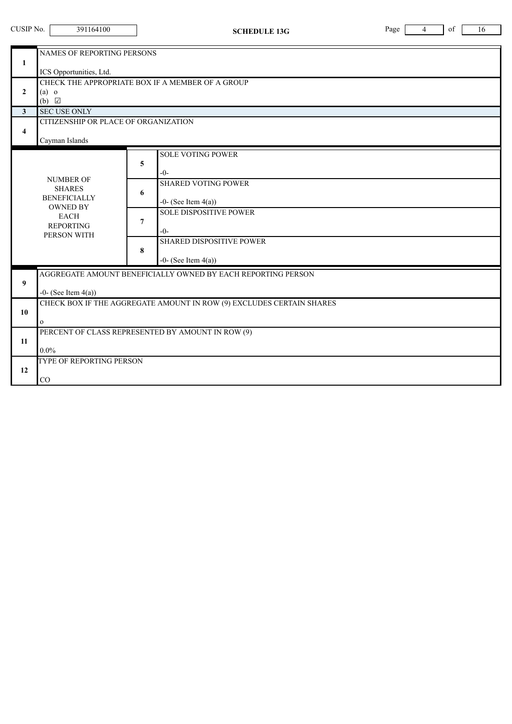| CUSIP No.<br>391164100<br>Page<br>4<br><b>SCHEDULE 13G</b> |                                                                                                           |                |                                                                                          | of<br>16 |  |  |  |
|------------------------------------------------------------|-----------------------------------------------------------------------------------------------------------|----------------|------------------------------------------------------------------------------------------|----------|--|--|--|
| $\mathbf{1}$                                               | <b>NAMES OF REPORTING PERSONS</b>                                                                         |                |                                                                                          |          |  |  |  |
| $\overline{2}$                                             | ICS Opportunities, Ltd.<br>CHECK THE APPROPRIATE BOX IF A MEMBER OF A GROUP<br>$(a)$ o<br>(b) $\boxtimes$ |                |                                                                                          |          |  |  |  |
| $\mathbf{3}$<br>$\overline{\mathbf{4}}$                    | <b>SEC USE ONLY</b><br>CITIZENSHIP OR PLACE OF ORGANIZATION<br>Cayman Islands                             |                |                                                                                          |          |  |  |  |
|                                                            | <b>NUMBER OF</b>                                                                                          | 5              | <b>SOLE VOTING POWER</b><br>$-0-$                                                        |          |  |  |  |
|                                                            | <b>SHARES</b><br><b>BENEFICIALLY</b><br><b>OWNED BY</b><br><b>EACH</b><br><b>REPORTING</b><br>PERSON WITH | 6              | <b>SHARED VOTING POWER</b><br>$-0$ - (See Item $4(a)$ )<br><b>SOLE DISPOSITIVE POWER</b> |          |  |  |  |
|                                                            |                                                                                                           | $\overline{7}$ | $-()$ -<br><b>SHARED DISPOSITIVE POWER</b>                                               |          |  |  |  |
|                                                            |                                                                                                           | 8              | $-0$ - (See Item $4(a)$ )                                                                |          |  |  |  |
| 9                                                          | AGGREGATE AMOUNT BENEFICIALLY OWNED BY EACH REPORTING PERSON<br>$-0$ - (See Item $4(a)$ )                 |                |                                                                                          |          |  |  |  |
| 10                                                         | CHECK BOX IF THE AGGREGATE AMOUNT IN ROW (9) EXCLUDES CERTAIN SHARES<br>$\mathbf{O}$                      |                |                                                                                          |          |  |  |  |
| 11                                                         | PERCENT OF CLASS REPRESENTED BY AMOUNT IN ROW (9)<br>$0.0\%$                                              |                |                                                                                          |          |  |  |  |
| 12                                                         | TYPE OF REPORTING PERSON<br>$\rm CO$                                                                      |                |                                                                                          |          |  |  |  |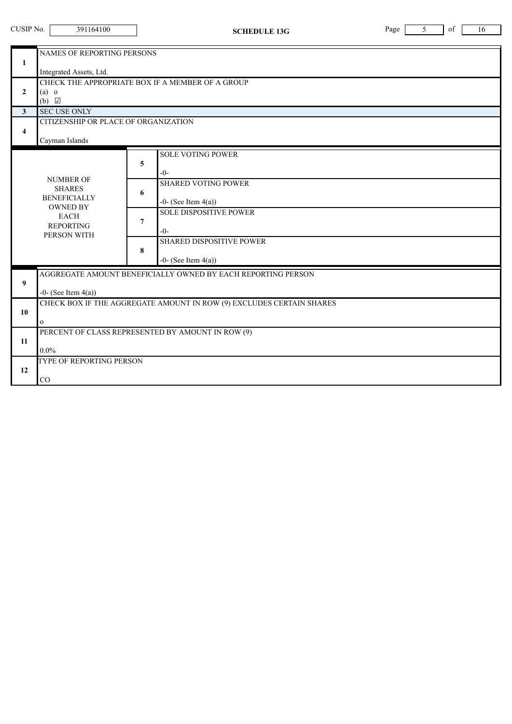| CUSIP No.                               | 391164100                                                                                                 | <b>SCHEDULE 13G</b>                                                                           | of<br>Page<br>5<br>16 |  |  |  |  |  |
|-----------------------------------------|-----------------------------------------------------------------------------------------------------------|-----------------------------------------------------------------------------------------------|-----------------------|--|--|--|--|--|
| $\mathbf{1}$                            | NAMES OF REPORTING PERSONS                                                                                |                                                                                               |                       |  |  |  |  |  |
| $\overline{2}$                          | Integrated Assets, Ltd.<br>CHECK THE APPROPRIATE BOX IF A MEMBER OF A GROUP<br>$(a)$ o<br>(b) $\Box$      |                                                                                               |                       |  |  |  |  |  |
| $\mathbf{3}$<br>$\overline{\mathbf{4}}$ | <b>SEC USE ONLY</b><br>CITIZENSHIP OR PLACE OF ORGANIZATION<br>Cayman Islands                             |                                                                                               |                       |  |  |  |  |  |
|                                         | <b>NUMBER OF</b>                                                                                          | <b>SOLE VOTING POWER</b><br>5<br>$-0-$                                                        |                       |  |  |  |  |  |
|                                         | <b>SHARES</b><br><b>BENEFICIALLY</b><br><b>OWNED BY</b><br><b>EACH</b><br><b>REPORTING</b><br>PERSON WITH | <b>SHARED VOTING POWER</b><br>6<br>$-0$ - (See Item $4(a)$ )<br><b>SOLE DISPOSITIVE POWER</b> |                       |  |  |  |  |  |
|                                         |                                                                                                           | $\overline{7}$<br>$-()$ -<br><b>SHARED DISPOSITIVE POWER</b>                                  |                       |  |  |  |  |  |
|                                         |                                                                                                           | 8<br>$-0$ - (See Item $4(a)$ )                                                                |                       |  |  |  |  |  |
| 9                                       | AGGREGATE AMOUNT BENEFICIALLY OWNED BY EACH REPORTING PERSON<br>$-0$ - (See Item $4(a)$ )                 |                                                                                               |                       |  |  |  |  |  |
| 10                                      | CHECK BOX IF THE AGGREGATE AMOUNT IN ROW (9) EXCLUDES CERTAIN SHARES<br>$\mathbf{O}$                      |                                                                                               |                       |  |  |  |  |  |
| 11                                      | PERCENT OF CLASS REPRESENTED BY AMOUNT IN ROW (9)<br>$0.0\%$                                              |                                                                                               |                       |  |  |  |  |  |
| 12                                      | TYPE OF REPORTING PERSON<br>$\rm CO$                                                                      |                                                                                               |                       |  |  |  |  |  |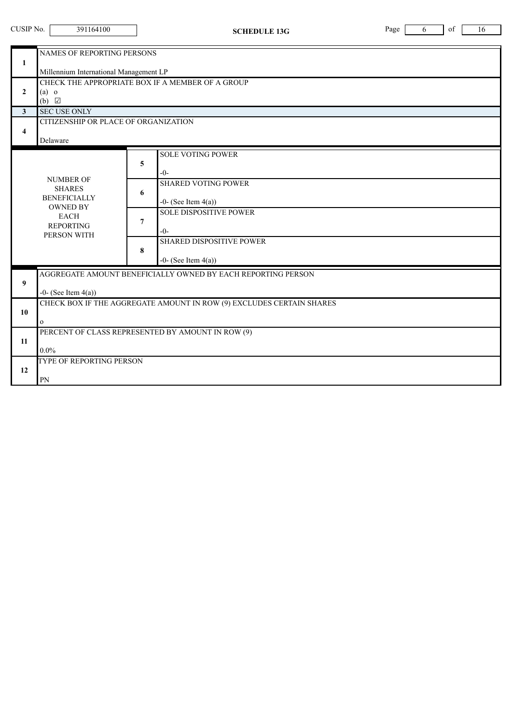| CUSIP No.                               | 391164100                                                                                                           | <b>SCHEDULE 13G</b>                                                                        | of<br>Page<br>16<br>6 |  |  |  |  |
|-----------------------------------------|---------------------------------------------------------------------------------------------------------------------|--------------------------------------------------------------------------------------------|-----------------------|--|--|--|--|
| 1                                       | NAMES OF REPORTING PERSONS                                                                                          |                                                                                            |                       |  |  |  |  |
| $\mathbf{2}$                            | Millennium International Management LP<br>CHECK THE APPROPRIATE BOX IF A MEMBER OF A GROUP<br>$(a)$ o<br>(b) $\Box$ |                                                                                            |                       |  |  |  |  |
| $\mathbf{3}$<br>$\overline{\mathbf{4}}$ | <b>SEC USE ONLY</b><br>CITIZENSHIP OR PLACE OF ORGANIZATION<br>Delaware                                             |                                                                                            |                       |  |  |  |  |
|                                         | <b>NUMBER OF</b>                                                                                                    | <b>SOLE VOTING POWER</b><br>5<br>$-0-$                                                     |                       |  |  |  |  |
|                                         | <b>SHARES</b><br><b>BENEFICIALLY</b><br><b>OWNED BY</b>                                                             | <b>SHARED VOTING POWER</b><br>6<br>-0- (See Item $4(a)$ )<br><b>SOLE DISPOSITIVE POWER</b> |                       |  |  |  |  |
|                                         | <b>EACH</b><br><b>REPORTING</b><br>PERSON WITH                                                                      | 7<br>$-0-$<br><b>SHARED DISPOSITIVE POWER</b>                                              |                       |  |  |  |  |
|                                         |                                                                                                                     | 8<br>$-0$ - (See Item $4(a)$ )                                                             |                       |  |  |  |  |
| 9                                       | AGGREGATE AMOUNT BENEFICIALLY OWNED BY EACH REPORTING PERSON<br>$-0$ - (See Item $4(a)$ )                           |                                                                                            |                       |  |  |  |  |
| 10                                      | CHECK BOX IF THE AGGREGATE AMOUNT IN ROW (9) EXCLUDES CERTAIN SHARES<br>$\mathbf{O}$                                |                                                                                            |                       |  |  |  |  |
| 11                                      | PERCENT OF CLASS REPRESENTED BY AMOUNT IN ROW (9)<br>$0.0\%$                                                        |                                                                                            |                       |  |  |  |  |
| 12                                      | TYPE OF REPORTING PERSON<br>PN                                                                                      |                                                                                            |                       |  |  |  |  |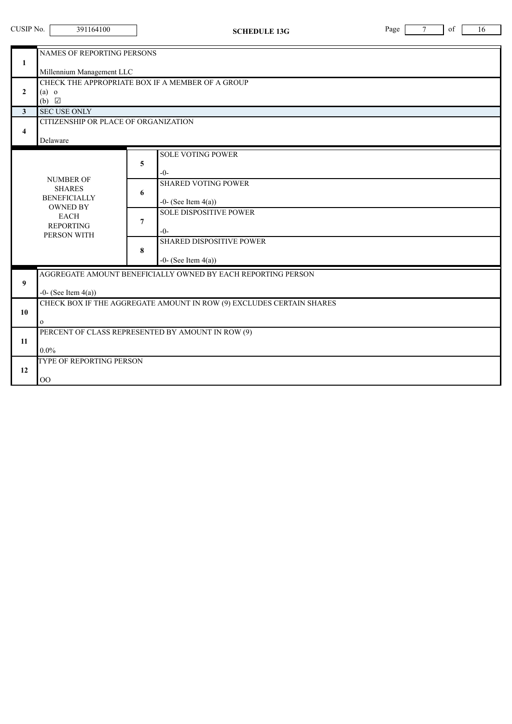| CUSIP No.                               | 391164100                                                                                 | <b>SCHEDULE 13G</b>                                                                           | of<br>Page<br>7<br>16 |  |  |  |  |
|-----------------------------------------|-------------------------------------------------------------------------------------------|-----------------------------------------------------------------------------------------------|-----------------------|--|--|--|--|
| 1                                       | <b>NAMES OF REPORTING PERSONS</b><br>Millennium Management LLC                            |                                                                                               |                       |  |  |  |  |
| $\mathbf{2}$                            | CHECK THE APPROPRIATE BOX IF A MEMBER OF A GROUP<br>$(a)$ o<br>$(b)$ $\Box$               |                                                                                               |                       |  |  |  |  |
| $\mathbf{3}$<br>$\overline{\mathbf{4}}$ | <b>SEC USE ONLY</b><br>CITIZENSHIP OR PLACE OF ORGANIZATION<br>Delaware                   |                                                                                               |                       |  |  |  |  |
|                                         | <b>NUMBER OF</b>                                                                          | <b>SOLE VOTING POWER</b><br>5<br>$-0-$                                                        |                       |  |  |  |  |
|                                         | <b>SHARES</b><br><b>BENEFICIALLY</b><br><b>OWNED BY</b>                                   | <b>SHARED VOTING POWER</b><br>6<br>$-0$ - (See Item $4(a)$ )<br><b>SOLE DISPOSITIVE POWER</b> |                       |  |  |  |  |
|                                         | <b>EACH</b><br><b>REPORTING</b><br>PERSON WITH                                            | $\overline{7}$<br>$-()$ -<br><b>SHARED DISPOSITIVE POWER</b>                                  |                       |  |  |  |  |
|                                         |                                                                                           | 8<br>$-0$ - (See Item $4(a)$ )                                                                |                       |  |  |  |  |
| 9                                       | AGGREGATE AMOUNT BENEFICIALLY OWNED BY EACH REPORTING PERSON<br>$-0$ - (See Item $4(a)$ ) |                                                                                               |                       |  |  |  |  |
| 10                                      | CHECK BOX IF THE AGGREGATE AMOUNT IN ROW (9) EXCLUDES CERTAIN SHARES<br>$\mathbf{o}$      |                                                                                               |                       |  |  |  |  |
| 11                                      | PERCENT OF CLASS REPRESENTED BY AMOUNT IN ROW (9)<br>$0.0\%$                              |                                                                                               |                       |  |  |  |  |
| 12                                      | TYPE OF REPORTING PERSON<br>$\rm OO$                                                      |                                                                                               |                       |  |  |  |  |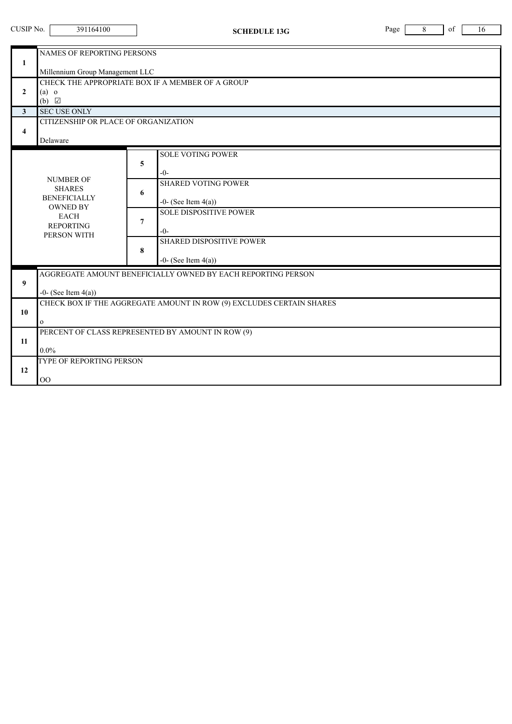| CUSIP No.                               | 391164100                                                                                 | <b>SCHEDULE 13G</b>                                                                        | Page<br>of<br>8<br>16 |  |  |  |  |
|-----------------------------------------|-------------------------------------------------------------------------------------------|--------------------------------------------------------------------------------------------|-----------------------|--|--|--|--|
| 1                                       | NAMES OF REPORTING PERSONS<br>Millennium Group Management LLC                             |                                                                                            |                       |  |  |  |  |
| $\mathbf{2}$                            | $(a)$ o<br>$(b)$ $\Box$                                                                   | CHECK THE APPROPRIATE BOX IF A MEMBER OF A GROUP                                           |                       |  |  |  |  |
| $\mathbf{3}$<br>$\overline{\mathbf{4}}$ | <b>SEC USE ONLY</b><br>CITIZENSHIP OR PLACE OF ORGANIZATION<br>Delaware                   |                                                                                            |                       |  |  |  |  |
|                                         | <b>NUMBER OF</b>                                                                          | <b>SOLE VOTING POWER</b><br>5<br>$-0-$                                                     |                       |  |  |  |  |
|                                         | <b>SHARES</b><br><b>BENEFICIALLY</b><br><b>OWNED BY</b>                                   | <b>SHARED VOTING POWER</b><br>6<br>-0- (See Item $4(a)$ )<br><b>SOLE DISPOSITIVE POWER</b> |                       |  |  |  |  |
|                                         | <b>EACH</b><br><b>REPORTING</b><br>PERSON WITH                                            | 7<br>$-0-$<br><b>SHARED DISPOSITIVE POWER</b>                                              |                       |  |  |  |  |
|                                         |                                                                                           | 8<br>-0- (See Item $4(a)$ )                                                                |                       |  |  |  |  |
| 9                                       | AGGREGATE AMOUNT BENEFICIALLY OWNED BY EACH REPORTING PERSON<br>$-0$ - (See Item $4(a)$ ) |                                                                                            |                       |  |  |  |  |
| 10                                      | CHECK BOX IF THE AGGREGATE AMOUNT IN ROW (9) EXCLUDES CERTAIN SHARES<br>$\mathbf{O}$      |                                                                                            |                       |  |  |  |  |
| 11                                      | PERCENT OF CLASS REPRESENTED BY AMOUNT IN ROW (9)<br>$0.0\%$                              |                                                                                            |                       |  |  |  |  |
| 12                                      | TYPE OF REPORTING PERSON<br>$\rm OO$                                                      |                                                                                            |                       |  |  |  |  |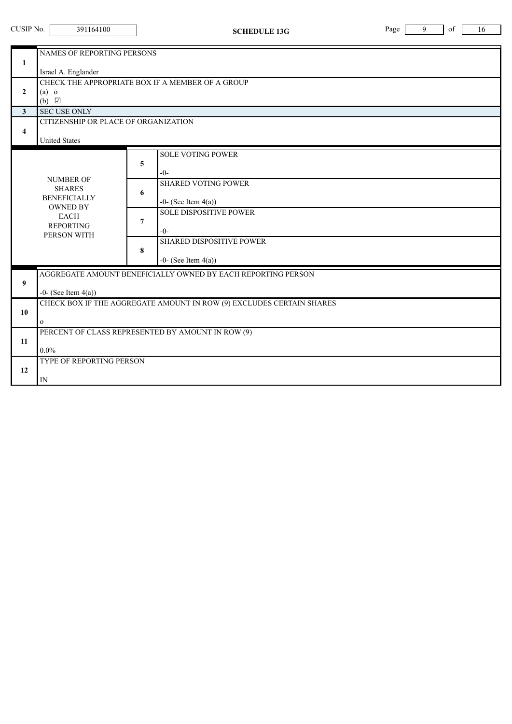| CUSIP No.<br>391164100<br><b>SCHEDULE 13G</b> |                                                                                                           |                | Page                                                                                     | 9 | of | 16 |  |
|-----------------------------------------------|-----------------------------------------------------------------------------------------------------------|----------------|------------------------------------------------------------------------------------------|---|----|----|--|
| 1                                             | NAMES OF REPORTING PERSONS                                                                                |                |                                                                                          |   |    |    |  |
| $\overline{2}$                                | Israel A. Englander<br>CHECK THE APPROPRIATE BOX IF A MEMBER OF A GROUP<br>$(a)$ o<br>$(b)$ $\Box$        |                |                                                                                          |   |    |    |  |
| $\mathbf{3}$<br>$\overline{\mathbf{4}}$       | <b>SEC USE ONLY</b><br>CITIZENSHIP OR PLACE OF ORGANIZATION<br><b>United States</b>                       |                |                                                                                          |   |    |    |  |
|                                               | <b>NUMBER OF</b>                                                                                          | 5              | <b>SOLE VOTING POWER</b><br>$-0-$                                                        |   |    |    |  |
|                                               | <b>SHARES</b><br><b>BENEFICIALLY</b><br><b>OWNED BY</b><br><b>EACH</b><br><b>REPORTING</b><br>PERSON WITH | 6              | <b>SHARED VOTING POWER</b><br>$-0$ - (See Item $4(a)$ )<br><b>SOLE DISPOSITIVE POWER</b> |   |    |    |  |
|                                               |                                                                                                           | $\overline{7}$ | $-0-$<br><b>SHARED DISPOSITIVE POWER</b>                                                 |   |    |    |  |
|                                               |                                                                                                           | 8              | $-0$ - (See Item $4(a)$ )                                                                |   |    |    |  |
| 9                                             | AGGREGATE AMOUNT BENEFICIALLY OWNED BY EACH REPORTING PERSON<br>$-0$ - (See Item $4(a)$ )                 |                |                                                                                          |   |    |    |  |
| 10                                            | CHECK BOX IF THE AGGREGATE AMOUNT IN ROW (9) EXCLUDES CERTAIN SHARES<br>$\mathbf{O}$                      |                |                                                                                          |   |    |    |  |
| 11                                            | PERCENT OF CLASS REPRESENTED BY AMOUNT IN ROW (9)<br>$0.0\%$                                              |                |                                                                                          |   |    |    |  |
| 12                                            | TYPE OF REPORTING PERSON<br>IN                                                                            |                |                                                                                          |   |    |    |  |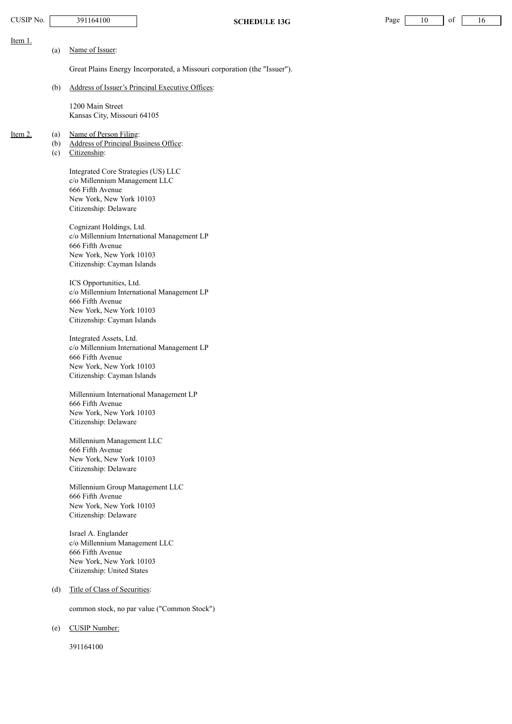| CUSIP No. |                   | 391164100                                                                                                                                                                                                                                                                           |                                                                                          | <b>SCHEDULE 13G</b>                                                      | Page | 10 | of | 16 |
|-----------|-------------------|-------------------------------------------------------------------------------------------------------------------------------------------------------------------------------------------------------------------------------------------------------------------------------------|------------------------------------------------------------------------------------------|--------------------------------------------------------------------------|------|----|----|----|
| Item 1.   |                   |                                                                                                                                                                                                                                                                                     |                                                                                          |                                                                          |      |    |    |    |
|           | (a)               | Name of Issuer:                                                                                                                                                                                                                                                                     |                                                                                          |                                                                          |      |    |    |    |
|           |                   |                                                                                                                                                                                                                                                                                     |                                                                                          | Great Plains Energy Incorporated, a Missouri corporation (the "Issuer"). |      |    |    |    |
|           | (b)               | Address of Issuer's Principal Executive Offices:                                                                                                                                                                                                                                    |                                                                                          |                                                                          |      |    |    |    |
|           |                   | 1200 Main Street<br>Kansas City, Missouri 64105                                                                                                                                                                                                                                     |                                                                                          |                                                                          |      |    |    |    |
| Item $2.$ | (a)<br>(b)<br>(c) | Name of Person Filing:<br><b>Address of Principal Business Office:</b><br>Citizenship:                                                                                                                                                                                              |                                                                                          |                                                                          |      |    |    |    |
|           |                   | Integrated Core Strategies (US) LLC<br>c/o Millennium Management LLC<br>666 Fifth Avenue<br>New York, New York 10103<br>Citizenship: Delaware<br>Cognizant Holdings, Ltd.<br>666 Fifth Avenue<br>New York, New York 10103<br>Citizenship: Cayman Islands<br>ICS Opportunities, Ltd. | c/o Millennium International Management LP<br>c/o Millennium International Management LP |                                                                          |      |    |    |    |
|           |                   | 666 Fifth Avenue<br>New York, New York 10103<br>Citizenship: Cayman Islands                                                                                                                                                                                                         |                                                                                          |                                                                          |      |    |    |    |
|           |                   | Integrated Assets, Ltd.<br>666 Fifth Avenue<br>New York, New York 10103<br>Citizenship: Cayman Islands                                                                                                                                                                              | c/o Millennium International Management LP                                               |                                                                          |      |    |    |    |
|           |                   | 666 Fifth Avenue<br>New York, New York 10103<br>Citizenship: Delaware                                                                                                                                                                                                               | Millennium International Management LP                                                   |                                                                          |      |    |    |    |
|           |                   | Millennium Management LLC<br>666 Fifth Avenue<br>New York, New York 10103<br>Citizenship: Delaware                                                                                                                                                                                  |                                                                                          |                                                                          |      |    |    |    |
|           |                   | Millennium Group Management LLC<br>666 Fifth Avenue<br>New York, New York 10103<br>Citizenship: Delaware                                                                                                                                                                            |                                                                                          |                                                                          |      |    |    |    |
|           |                   | Israel A. Englander<br>c/o Millennium Management LLC<br>666 Fifth Avenue<br>New York, New York 10103<br>Citizenship: United States                                                                                                                                                  |                                                                                          |                                                                          |      |    |    |    |
|           | (d)               | Title of Class of Securities:                                                                                                                                                                                                                                                       |                                                                                          |                                                                          |      |    |    |    |
|           |                   |                                                                                                                                                                                                                                                                                     | common stock, no par value ("Common Stock")                                              |                                                                          |      |    |    |    |
|           | (e)               | <b>CUSIP</b> Number:                                                                                                                                                                                                                                                                |                                                                                          |                                                                          |      |    |    |    |
|           |                   | 391164100                                                                                                                                                                                                                                                                           |                                                                                          |                                                                          |      |    |    |    |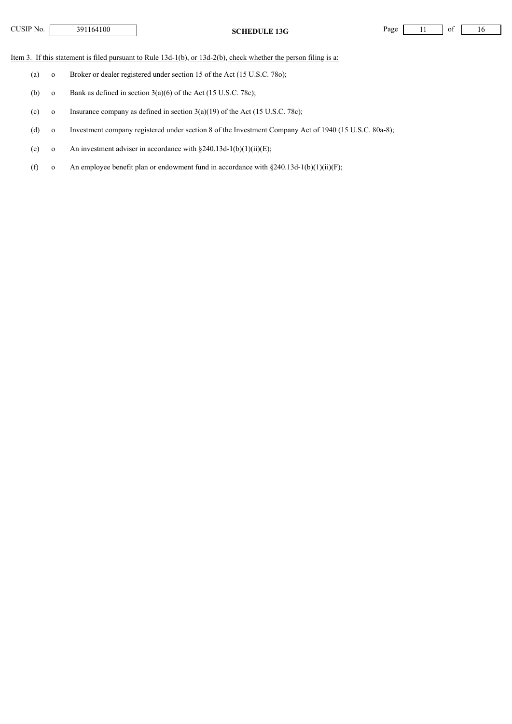| TUSIP No. |  |
|-----------|--|
|-----------|--|

**CHEDULE 13G** Page 11 of 16

Item 3. If this statement is filed pursuant to Rule 13d-1(b), or 13d-2(b), check whether the person filing is a:

- (a) o Broker or dealer registered under section 15 of the Act (15 U.S.C. 78o);
- (b) o Bank as defined in section  $3(a)(6)$  of the Act (15 U.S.C. 78c);
- (c) o Insurance company as defined in section  $3(a)(19)$  of the Act (15 U.S.C. 78c);
- (d) o Investment company registered under section 8 of the Investment Company Act of 1940 (15 U.S.C. 80a-8);
- (e) o An investment adviser in accordance with  $§240.13d-1(b)(1)(ii)(E);$
- (f) o An employee benefit plan or endowment fund in accordance with  $\S 240.13d-1(b)(1)(ii)(F)$ ;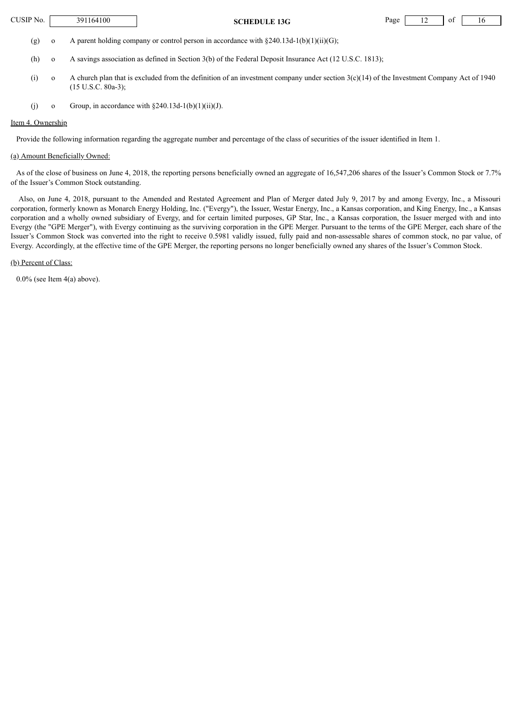| $\gamma$ <sub>JSIP</sub> No. | '164100<br>391 | SCHEDULE<br>13G<br>so | Page | . . | -01 | , |
|------------------------------|----------------|-----------------------|------|-----|-----|---|
|                              |                |                       |      |     |     |   |

(g) o A parent holding company or control person in accordance with  $\S 240.13d-1(b)(1)(ii)(G);$ 

- (h) o A savings association as defined in Section 3(b) of the Federal Deposit Insurance Act (12 U.S.C. 1813);
- (i) o A church plan that is excluded from the definition of an investment company under section  $3(c)(14)$  of the Investment Company Act of 1940 (15 U.S.C. 80a-3);
- (j) o Group, in accordance with  $\S 240.13d-1(b)(1)(ii)(J)$ .

## Item 4. Ownership

Provide the following information regarding the aggregate number and percentage of the class of securities of the issuer identified in Item 1.

## (a) Amount Beneficially Owned:

As of the close of business on June 4, 2018, the reporting persons beneficially owned an aggregate of 16,547,206 shares of the Issuer's Common Stock or 7.7% of the Issuer's Common Stock outstanding.

Also, on June 4, 2018, pursuant to the Amended and Restated Agreement and Plan of Merger dated July 9, 2017 by and among Evergy, Inc., a Missouri corporation, formerly known as Monarch Energy Holding, Inc. ("Evergy"), the Issuer, Westar Energy, Inc., a Kansas corporation, and King Energy, Inc., a Kansas corporation and a wholly owned subsidiary of Evergy, and for certain limited purposes, GP Star, Inc., a Kansas corporation, the Issuer merged with and into Evergy (the "GPE Merger"), with Evergy continuing as the surviving corporation in the GPE Merger. Pursuant to the terms of the GPE Merger, each share of the Issuer's Common Stock was converted into the right to receive 0.5981 validly issued, fully paid and non-assessable shares of common stock, no par value, of Evergy. Accordingly, at the effective time of the GPE Merger, the reporting persons no longer beneficially owned any shares of the Issuer's Common Stock.

(b) Percent of Class:

 $0.0\%$  (see Item  $4(a)$  above).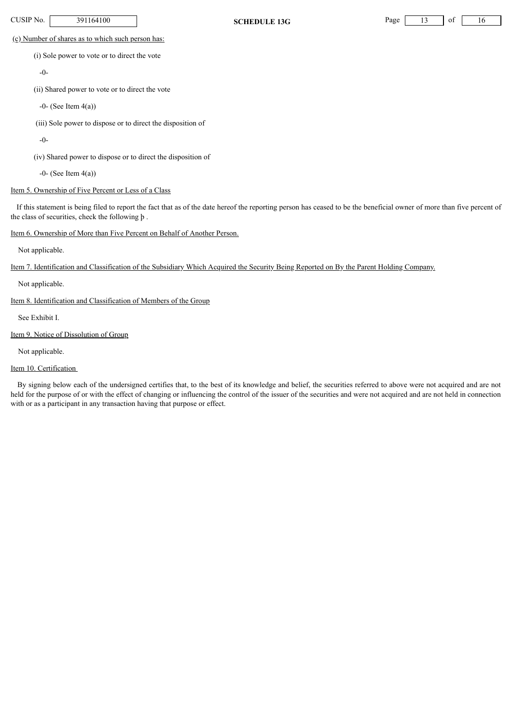**CUSIP No.** 391164100 **SCHEDULE 13G** Page 13 of 16

(c) Number of shares as to which such person has:

(i) Sole power to vote or to direct the vote

-0-

(ii) Shared power to vote or to direct the vote

 $-0$ - (See Item  $4(a)$ )

(iii) Sole power to dispose or to direct the disposition of

-0-

(iv) Shared power to dispose or to direct the disposition of

 $-0$ - (See Item  $4(a)$ )

# Item 5. Ownership of Five Percent or Less of a Class

If this statement is being filed to report the fact that as of the date hereof the reporting person has ceased to be the beneficial owner of more than five percent of the class of securities, check the following þ .

# Item 6. Ownership of More than Five Percent on Behalf of Another Person.

Not applicable.

Item 7. Identification and Classification of the Subsidiary Which Acquired the Security Being Reported on By the Parent Holding Company.

Not applicable.

Item 8. Identification and Classification of Members of the Group

See Exhibit I.

Item 9. Notice of Dissolution of Group

Not applicable.

# Item 10. Certification

By signing below each of the undersigned certifies that, to the best of its knowledge and belief, the securities referred to above were not acquired and are not held for the purpose of or with the effect of changing or influencing the control of the issuer of the securities and were not acquired and are not held in connection with or as a participant in any transaction having that purpose or effect.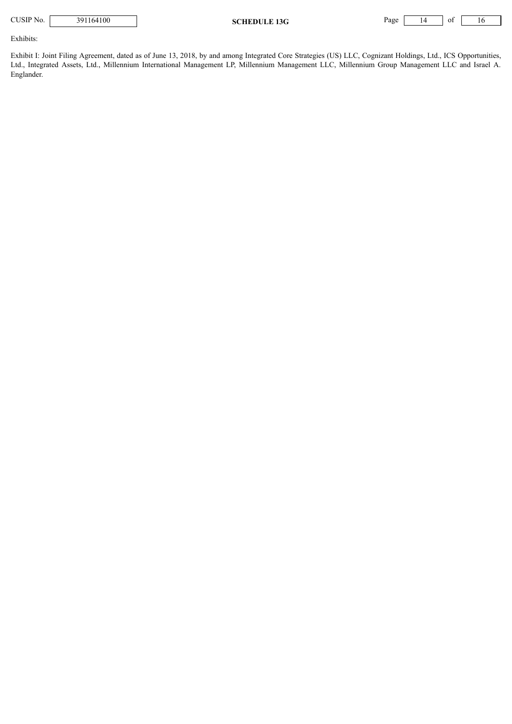| CUSIP No. | 391164100 |
|-----------|-----------|
|-----------|-----------|

**SCHEDULE 13G** Page 14 of 16

Exhibits:

Exhibit I: Joint Filing Agreement, dated as of June 13, 2018, by and among Integrated Core Strategies (US) LLC, Cognizant Holdings, Ltd., ICS Opportunities, Ltd., Integrated Assets, Ltd., Millennium International Management LP, Millennium Management LLC, Millennium Group Management LLC and Israel A. Englander.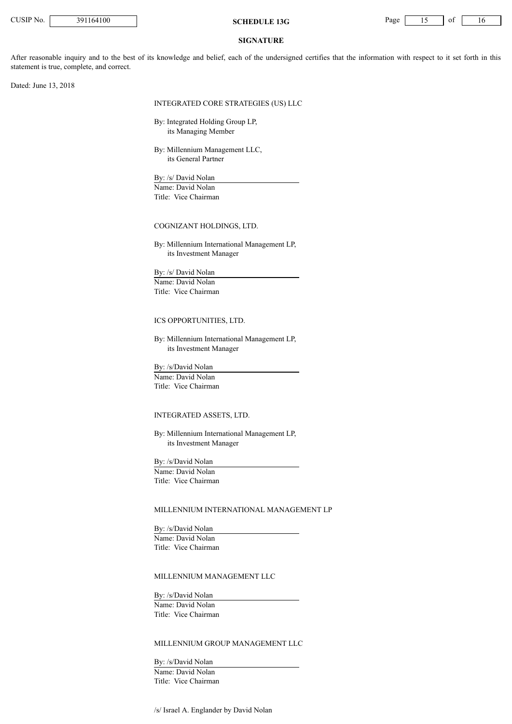

### **SIGNATURE**

After reasonable inquiry and to the best of its knowledge and belief, each of the undersigned certifies that the information with respect to it set forth in this statement is true, complete, and correct.

Dated: June 13, 2018

#### INTEGRATED CORE STRATEGIES (US) LLC

By: Integrated Holding Group LP, its Managing Member

By: Millennium Management LLC, its General Partner

By: /s/ David Nolan Name: David Nolan Title: Vice Chairman

#### COGNIZANT HOLDINGS, LTD.

By: Millennium International Management LP, its Investment Manager

By: /s/ David Nolan

Name: David Nolan Title: Vice Chairman

#### ICS OPPORTUNITIES, LTD.

By: Millennium International Management LP, its Investment Manager

By: /s/David Nolan Name: David Nolan Title: Vice Chairman

## INTEGRATED ASSETS, LTD.

By: Millennium International Management LP, its Investment Manager

By: /s/David Nolan Name: David Nolan Title: Vice Chairman

## MILLENNIUM INTERNATIONAL MANAGEMENT LP

By: /s/David Nolan Name: David Nolan Title: Vice Chairman

## MILLENNIUM MANAGEMENT LLC

By: /s/David Nolan Name: David Nolan Title: Vice Chairman

# MILLENNIUM GROUP MANAGEMENT LLC

By: /s/David Nolan Name: David Nolan Title: Vice Chairman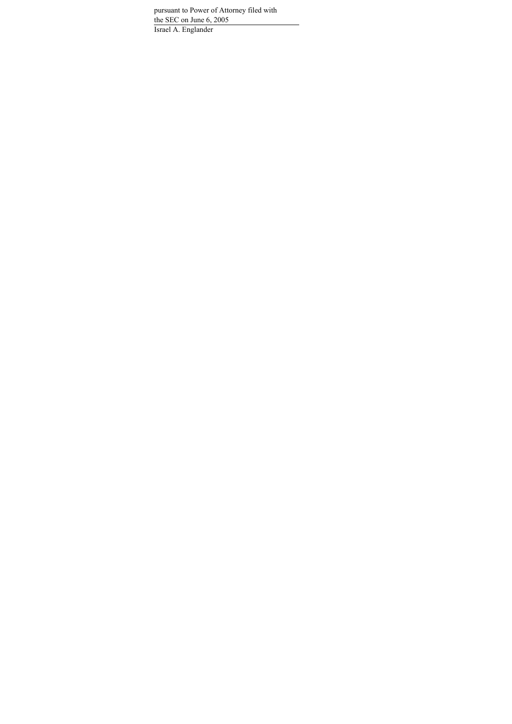pursuant to Power of Attorney filed with the SEC on June 6, 2005 Israel A. Englander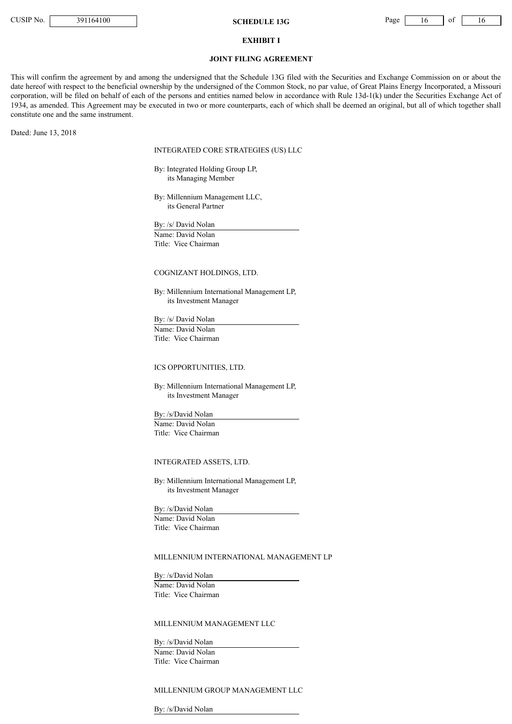**CUSIP No.** 391164100 **SCHEDULE 13G** Page 16 of 16

#### **EXHIBIT I**

### **JOINT FILING AGREEMENT**

This will confirm the agreement by and among the undersigned that the Schedule 13G filed with the Securities and Exchange Commission on or about the date hereof with respect to the beneficial ownership by the undersigned of the Common Stock, no par value, of Great Plains Energy Incorporated, a Missouri corporation, will be filed on behalf of each of the persons and entities named below in accordance with Rule 13d-1(k) under the Securities Exchange Act of 1934, as amended. This Agreement may be executed in two or more counterparts, each of which shall be deemed an original, but all of which together shall constitute one and the same instrument.

Dated: June 13, 2018

INTEGRATED CORE STRATEGIES (US) LLC

By: Integrated Holding Group LP, its Managing Member

By: Millennium Management LLC, its General Partner

By: /s/ David Nolan Name: David Nolan Title: Vice Chairman

## COGNIZANT HOLDINGS, LTD.

By: Millennium International Management LP, its Investment Manager

By: /s/ David Nolan Name: David Nolan Title: Vice Chairman

# ICS OPPORTUNITIES, LTD.

By: Millennium International Management LP, its Investment Manager

By: /s/David Nolan Name: David Nolan Title: Vice Chairman

#### INTEGRATED ASSETS, LTD.

By: Millennium International Management LP, its Investment Manager

By: /s/David Nolan Name: David Nolan Title: Vice Chairman

## MILLENNIUM INTERNATIONAL MANAGEMENT LP

By: /s/David Nolan Name: David Nolan Title: Vice Chairman

## MILLENNIUM MANAGEMENT LLC

By: /s/David Nolan Name: David Nolan Title: Vice Chairman

## MILLENNIUM GROUP MANAGEMENT LLC

By: /s/David Nolan